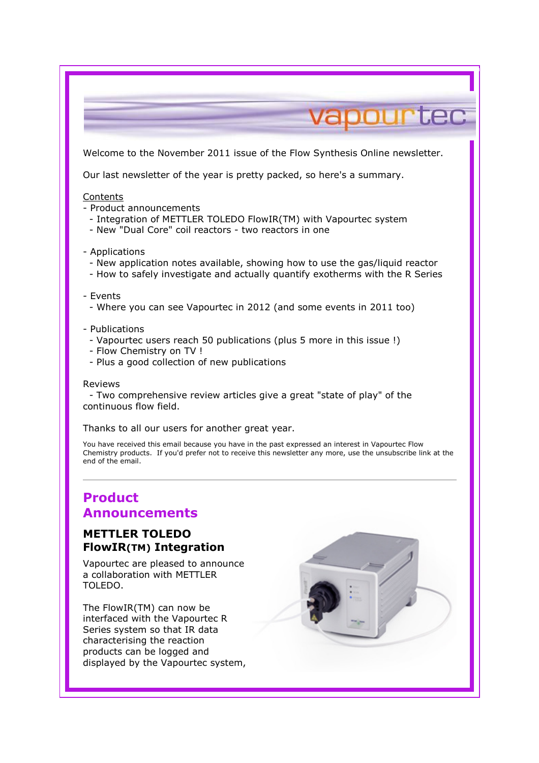

# Product Announcements

## METTLER TOLEDO FlowIR(TM) Integration

Vapourtec are pleased to announce a collaboration with METTLER TOLEDO.

The FlowIR(TM) can now be interfaced with the Vapourtec R Series system so that IR data characterising the reaction products can be logged and displayed by the Vapourtec system,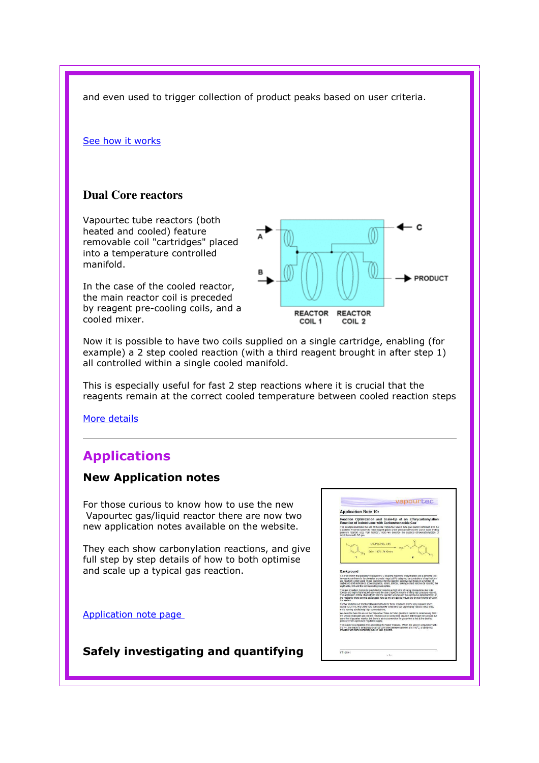and even used to trigger collection of product peaks based on user criteria.

#### See how it works

### **Dual Core reactors**

Vapourtec tube reactors (both heated and cooled) feature removable coil "cartridges" placed into a temperature controlled manifold.

In the case of the cooled reactor, the main reactor coil is preceded by reagent pre-cooling coils, and a cooled mixer.



Now it is possible to have two coils supplied on a single cartridge, enabling (for example) a 2 step cooled reaction (with a third reagent brought in after step 1) all controlled within a single cooled manifold.

This is especially useful for fast 2 step reactions where it is crucial that the reagents remain at the correct cooled temperature between cooled reaction steps

More details

# Applications

### New Application notes

For those curious to know how to use the new Vapourtec gas/liquid reactor there are now two new application notes available on the website.

They each show carbonylation reactions, and give full step by step details of how to both optimise and scale up a typical gas reaction.

Application note page

Safely investigating and quantifying

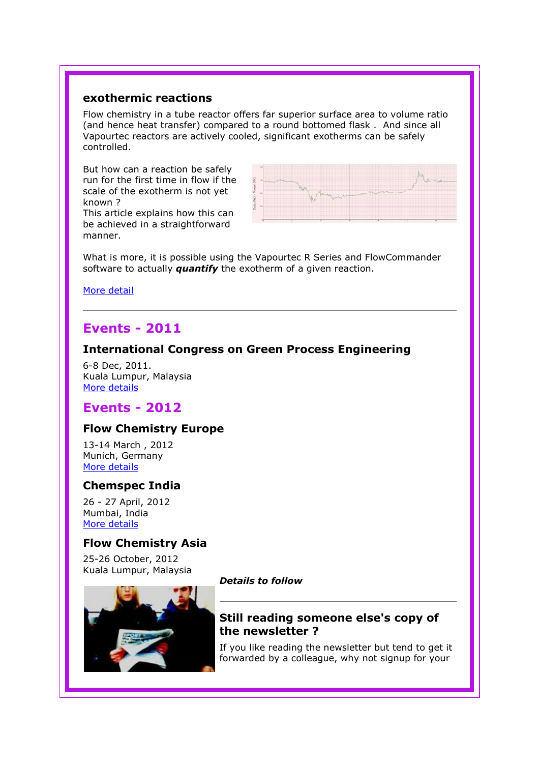## exothermic reactions

Flow chemistry in a tube reactor offers far superior surface area to volume ratio (and hence heat transfer) compared to a round bottomed flask . And since all Vapourtec reactors are actively cooled, significant exotherms can be safely controlled.

But how can a reaction be safely run for the first time in flow if the scale of the exotherm is not yet known ?

This article explains how this can be achieved in a straightforward manner.



What is more, it is possible using the Vapourtec R Series and FlowCommander software to actually **quantify** the exotherm of a given reaction.

More detail

# Events - 2011

### International Congress on Green Process Engineering

6-8 Dec, 2011. Kuala Lumpur, Malaysia More details

# Events - 2012

### Flow Chemistry Europe

13-14 March , 2012 Munich, Germany More details

### Chemspec India

26 - 27 April, 2012 Mumbai, India More details

### Flow Chemistry Asia

25-26 October, 2012 Kuala Lumpur, Malaysia



#### Details to follow

## Still reading someone else's copy of the newsletter ?

If you like reading the newsletter but tend to get it forwarded by a colleague, why not signup for your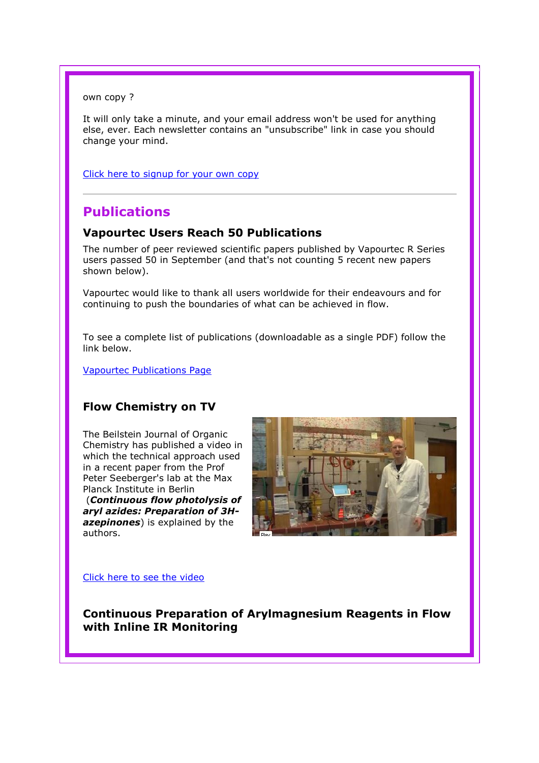own copy ?

It will only take a minute, and your email address won't be used for anything else, ever. Each newsletter contains an "unsubscribe" link in case you should change your mind.

Click here to signup for your own copy

# Publications

## Vapourtec Users Reach 50 Publications

The number of peer reviewed scientific papers published by Vapourtec R Series users passed 50 in September (and that's not counting 5 recent new papers shown below).

Vapourtec would like to thank all users worldwide for their endeavours and for continuing to push the boundaries of what can be achieved in flow.

To see a complete list of publications (downloadable as a single PDF) follow the link below.

Vapourtec Publications Page

# Flow Chemistry on TV

The Beilstein Journal of Organic Chemistry has published a video in which the technical approach used in a recent paper from the Prof Peter Seeberger's lab at the Max Planck Institute in Berlin (Continuous flow photolysis of aryl azides: Preparation of 3Hazepinones) is explained by the authors.



Click here to see the video

Continuous Preparation of Arylmagnesium Reagents in Flow with Inline IR Monitoring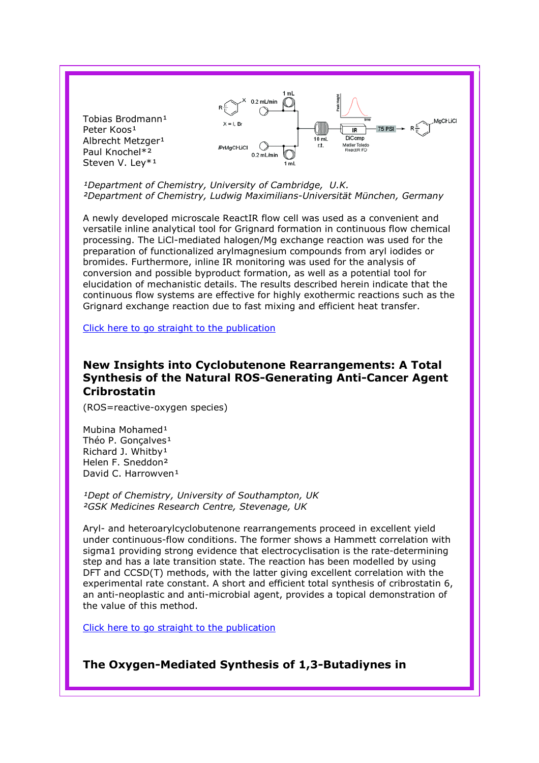

<sup>1</sup>Department of Chemistry, University of Cambridge, U.K. ²Department of Chemistry, Ludwig Maximilians-Universität München, Germany

A newly developed microscale ReactIR flow cell was used as a convenient and versatile inline analytical tool for Grignard formation in continuous flow chemical processing. The LiCl-mediated halogen/Mg exchange reaction was used for the preparation of functionalized arylmagnesium compounds from aryl iodides or bromides. Furthermore, inline IR monitoring was used for the analysis of conversion and possible byproduct formation, as well as a potential tool for elucidation of mechanistic details. The results described herein indicate that the continuous flow systems are effective for highly exothermic reactions such as the Grignard exchange reaction due to fast mixing and efficient heat transfer.

Click here to go straight to the publication

### New Insights into Cyclobutenone Rearrangements: A Total Synthesis of the Natural ROS-Generating Anti-Cancer Agent **Cribrostatin**

(ROS=reactive-oxygen species)

Mubina Mohamed<sup>1</sup> Théo P. Goncalves<sup>1</sup> Richard J. Whitby<sup>1</sup> Helen F. Sneddon² David C. Harrowven<sup>1</sup>

<sup>1</sup>Dept of Chemistry, University of Southampton, UK ²GSK Medicines Research Centre, Stevenage, UK

Aryl- and heteroarylcyclobutenone rearrangements proceed in excellent yield under continuous-flow conditions. The former shows a Hammett correlation with sigma1 providing strong evidence that electrocyclisation is the rate-determining step and has a late transition state. The reaction has been modelled by using DFT and CCSD(T) methods, with the latter giving excellent correlation with the experimental rate constant. A short and efficient total synthesis of cribrostatin 6, an anti-neoplastic and anti-microbial agent, provides a topical demonstration of the value of this method.

Click here to go straight to the publication

The Oxygen-Mediated Synthesis of 1,3-Butadiynes in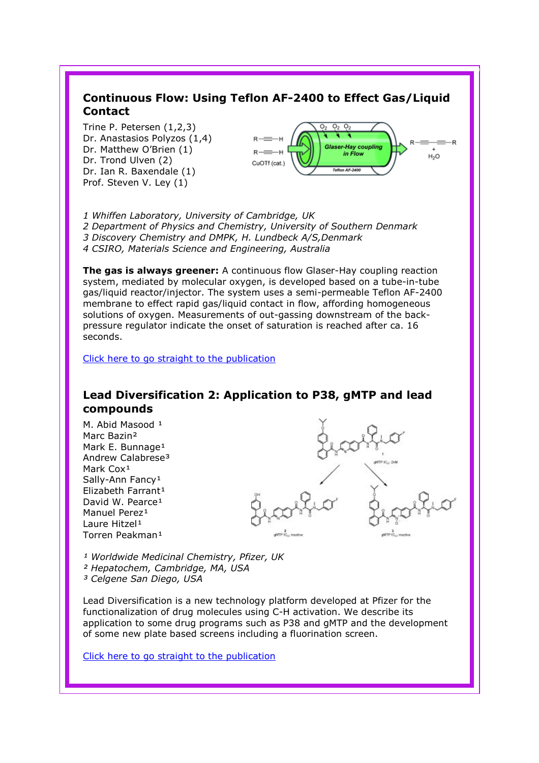# Continuous Flow: Using Teflon AF-2400 to Effect Gas/Liquid **Contact**

Trine P. Petersen (1,2,3) Dr. Anastasios Polyzos (1,4) Dr. Matthew O'Brien (1) Dr. Trond Ulven (2) Dr. Ian R. Baxendale (1) Prof. Steven V. Ley (1)



1 Whiffen Laboratory, University of Cambridge, UK 2 Department of Physics and Chemistry, University of Southern Denmark 3 Discovery Chemistry and DMPK, H. Lundbeck A/S,Denmark 4 CSIRO, Materials Science and Engineering, Australia

The gas is always greener: A continuous flow Glaser-Hay coupling reaction system, mediated by molecular oxygen, is developed based on a tube-in-tube gas/liquid reactor/injector. The system uses a semi-permeable Teflon AF-2400 membrane to effect rapid gas/liquid contact in flow, affording homogeneous solutions of oxygen. Measurements of out-gassing downstream of the backpressure regulator indicate the onset of saturation is reached after ca. 16 seconds.

Click here to go straight to the publication

## Lead Diversification 2: Application to P38, gMTP and lead compounds

M. Abid Masood 1 Marc Bazin² Mark E. Bunnage<sup>1</sup> Andrew Calabrese<sup>3</sup> Mark Cox<sup>1</sup> Sally-Ann Fancy<sup>1</sup> Elizabeth Farrant<sup>1</sup> David W. Pearce<sup>1</sup> Manuel Perez<sup>1</sup> Laure Hitzel<sup>1</sup> Torren Peakman<sup>1</sup>

<sup>1</sup> Worldwide Medicinal Chemistry, Pfizer, UK ² Hepatochem, Cambridge, MA, USA <sup>3</sup> Celgene San Diego, USA

Lead Diversification is a new technology platform developed at Pfizer for the functionalization of drug molecules using C-H activation. We describe its application to some drug programs such as P38 and gMTP and the development of some new plate based screens including a fluorination screen.

Click here to go straight to the publication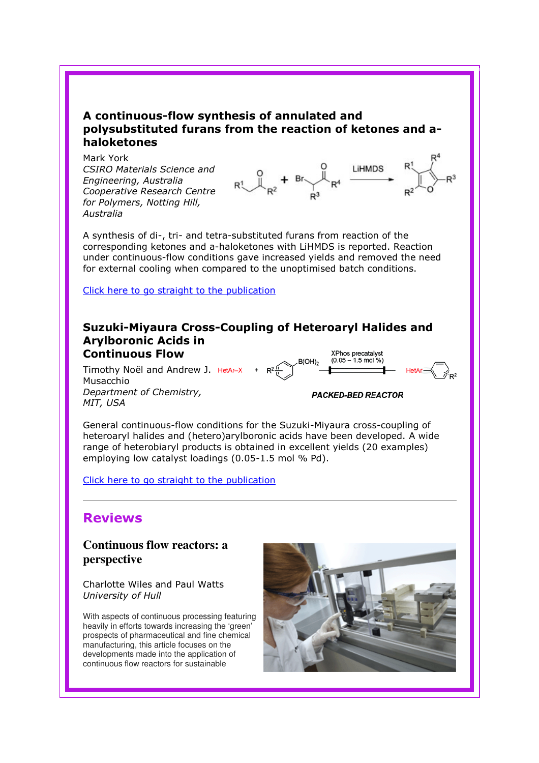## A continuous-flow synthesis of annulated and polysubstituted furans from the reaction of ketones and ahaloketones

Mark York CSIRO Materials Science and Engineering, Australia Cooperative Research Centre for Polymers, Notting Hill, Australia



A synthesis of di-, tri- and tetra-substituted furans from reaction of the corresponding ketones and a-haloketones with LiHMDS is reported. Reaction under continuous-flow conditions gave increased yields and removed the need for external cooling when compared to the unoptimised batch conditions.

Click here to go straight to the publication

#### Suzuki-Miyaura Cross-Coupling of Heteroaryl Halides and Arylboronic Acids in Continuous Flow XPhos precatalyst  $(0.05 - 1.5$  mol %)

Timothy Noël and Andrew J.  $He^{tA_r-X}$  +  $R^2 \sqrt{\frac{B(OH)}{N}}$ Musacchio Department of Chemistry, MIT, USA

**PACKED-BED REACTOR** 

HetAr-

General continuous-flow conditions for the Suzuki-Miyaura cross-coupling of heteroaryl halides and (hetero)arylboronic acids have been developed. A wide range of heterobiaryl products is obtained in excellent yields (20 examples) employing low catalyst loadings (0.05-1.5 mol % Pd).

Click here to go straight to the publication

# Reviews

**Continuous flow reactors: a perspective** 

Charlotte Wiles and Paul Watts University of Hull

With aspects of continuous processing featuring heavily in efforts towards increasing the 'green' prospects of pharmaceutical and fine chemical manufacturing, this article focuses on the developments made into the application of continuous flow reactors for sustainable